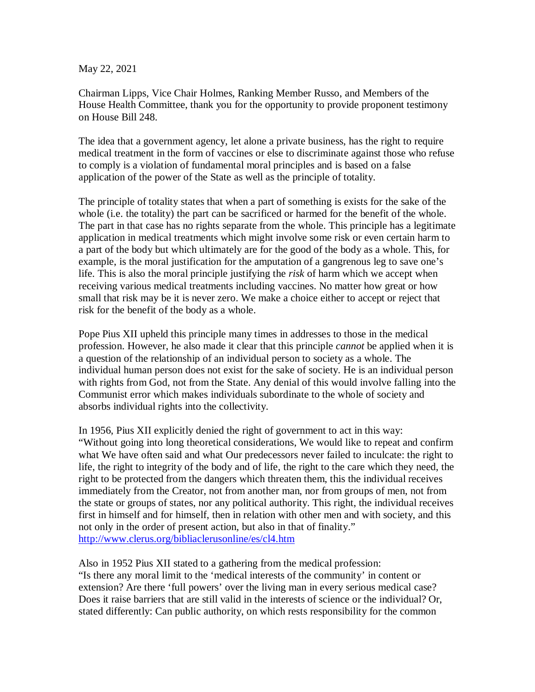May 22, 2021

Chairman Lipps, Vice Chair Holmes, Ranking Member Russo, and Members of the House Health Committee, thank you for the opportunity to provide proponent testimony on House Bill 248.

The idea that a government agency, let alone a private business, has the right to require medical treatment in the form of vaccines or else to discriminate against those who refuse to comply is a violation of fundamental moral principles and is based on a false application of the power of the State as well as the principle of totality.

The principle of totality states that when a part of something is exists for the sake of the whole (i.e. the totality) the part can be sacrificed or harmed for the benefit of the whole. The part in that case has no rights separate from the whole. This principle has a legitimate application in medical treatments which might involve some risk or even certain harm to a part of the body but which ultimately are for the good of the body as a whole. This, for example, is the moral justification for the amputation of a gangrenous leg to save one's life. This is also the moral principle justifying the *risk* of harm which we accept when receiving various medical treatments including vaccines. No matter how great or how small that risk may be it is never zero. We make a choice either to accept or reject that risk for the benefit of the body as a whole.

Pope Pius XII upheld this principle many times in addresses to those in the medical profession. However, he also made it clear that this principle *cannot* be applied when it is a question of the relationship of an individual person to society as a whole. The individual human person does not exist for the sake of society. He is an individual person with rights from God, not from the State. Any denial of this would involve falling into the Communist error which makes individuals subordinate to the whole of society and absorbs individual rights into the collectivity.

In 1956, Pius XII explicitly denied the right of government to act in this way: "Without going into long theoretical considerations, We would like to repeat and confirm what We have often said and what Our predecessors never failed to inculcate: the right to life, the right to integrity of the body and of life, the right to the care which they need, the right to be protected from the dangers which threaten them, this the individual receives immediately from the Creator, not from another man, nor from groups of men, not from the state or groups of states, nor any political authority. This right, the individual receives first in himself and for himself, then in relation with other men and with society, and this not only in the order of present action, but also in that of finality." http://www.clerus.org/bibliaclerusonline/es/cl4.htm

Also in 1952 Pius XII stated to a gathering from the medical profession: "Is there any moral limit to the 'medical interests of the community' in content or extension? Are there 'full powers' over the living man in every serious medical case? Does it raise barriers that are still valid in the interests of science or the individual? Or, stated differently: Can public authority, on which rests responsibility for the common